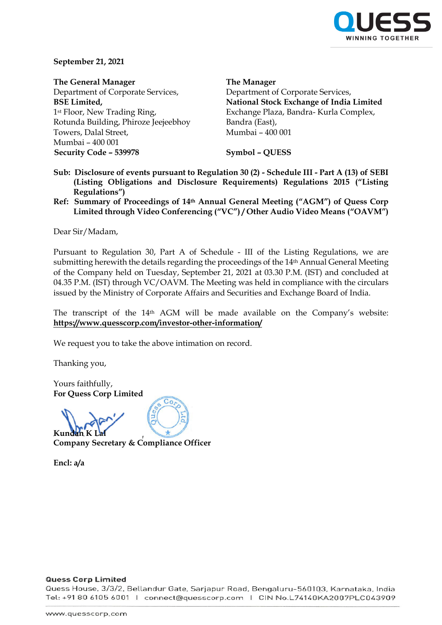

**September 21, 2021**

**The General Manager** Department of Corporate Services, **BSE Limited,** 1st Floor, New Trading Ring, Rotunda Building, Phiroze Jeejeebhoy Towers, Dalal Street, Mumbai – 400 001 **Security Code – 539978 Symbol – QUESS**

**The Manager**

Department of Corporate Services, **National Stock Exchange of India Limited** Exchange Plaza, Bandra- Kurla Complex, Bandra (East), Mumbai – 400 001

- **Sub: Disclosure of events pursuant to Regulation 30 (2) - Schedule III - Part A (13) of SEBI (Listing Obligations and Disclosure Requirements) Regulations 2015 ("Listing Regulations")**
- **Ref: Summary of Proceedings of 14th Annual General Meeting ("AGM") of Quess Corp Limited through Video Conferencing ("VC") / Other Audio Video Means ("OAVM")**

Dear Sir/Madam,

Pursuant to Regulation 30, Part A of Schedule - III of the Listing Regulations, we are submitting herewith the details regarding the proceedings of the 14<sup>th</sup> Annual General Meeting of the Company held on Tuesday, September 21, 2021 at 03.30 P.M. (IST) and concluded at 04.35 P.M. (IST) through VC/OAVM. The Meeting was held in compliance with the circulars issued by the Ministry of Corporate Affairs and Securities and Exchange Board of India.

The transcript of the 14th AGM will be made available on the Company's website: **https://www.quesscorp.com/investor-other-information/**

We request you to take the above intimation on record.

Thanking you,

Yours faithfully, **For Quess Corp Limited** 

**Kundan K Lal Company Secretary & Compliance Officer**

**Encl: a/a**

### **Quess Corp Limited**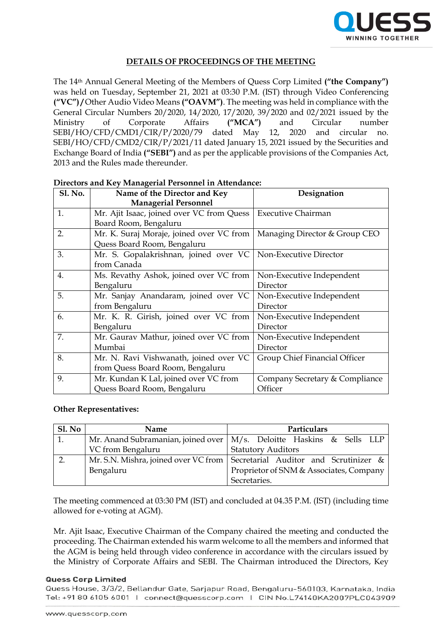

# **DETAILS OF PROCEEDINGS OF THE MEETING**

The 14th Annual General Meeting of the Members of Quess Corp Limited **("the Company")** was held on Tuesday, September 21, 2021 at 03:30 P.M. (IST) through Video Conferencing **("VC") /** Other Audio Video Means **("OAVM")**. The meeting was held in compliance with the General Circular Numbers 20/2020, 14/2020, 17/2020, 39/2020 and 02/2021 issued by the Ministry of Corporate Affairs **("MCA")** and Circular number SEBI/HO/CFD/CMD1/CIR/P/2020/79 dated May 12, 2020 and circular no. SEBI/HO/CFD/CMD2/CIR/P/2021/11 dated January 15, 2021 issued by the Securities and Exchange Board of India **("SEBI")** and as per the applicable provisions of the Companies Act, 2013 and the Rules made thereunder.

| <b>Sl. No.</b> | Name of the Director and Key<br><b>Managerial Personnel</b>                | Designation                               |
|----------------|----------------------------------------------------------------------------|-------------------------------------------|
| 1.             | Mr. Ajit Isaac, joined over VC from Quess<br>Board Room, Bengaluru         | <b>Executive Chairman</b>                 |
| 2.             | Mr. K. Suraj Moraje, joined over VC from<br>Quess Board Room, Bengaluru    | Managing Director & Group CEO             |
| 3.             | Mr. S. Gopalakrishnan, joined over VC<br>from Canada                       | Non-Executive Director                    |
| 4.             | Ms. Revathy Ashok, joined over VC from<br>Bengaluru                        | Non-Executive Independent<br>Director     |
| 5.             | Mr. Sanjay Anandaram, joined over VC<br>from Bengaluru                     | Non-Executive Independent<br>Director     |
| 6.             | Mr. K. R. Girish, joined over VC from<br>Bengaluru                         | Non-Executive Independent<br>Director     |
| 7.             | Mr. Gaurav Mathur, joined over VC from<br>Mumbai                           | Non-Executive Independent<br>Director     |
| 8.             | Mr. N. Ravi Vishwanath, joined over VC<br>from Quess Board Room, Bengaluru | Group Chief Financial Officer             |
| 9.             | Mr. Kundan K Lal, joined over VC from<br>Quess Board Room, Bengaluru       | Company Secretary & Compliance<br>Officer |

## **Directors and Key Managerial Personnel in Attendance:**

### **Other Representatives:**

| Sl. No | <b>Name</b>       | Particulars                                                                  |
|--------|-------------------|------------------------------------------------------------------------------|
| 1.     |                   | Mr. Anand Subramanian, joined over   M/s. Deloitte Haskins & Sells LLP       |
|        | VC from Bengaluru | <b>Statutory Auditors</b>                                                    |
|        |                   | Mr. S.N. Mishra, joined over VC from   Secretarial Auditor and Scrutinizer & |
|        | Bengaluru         | Proprietor of SNM & Associates, Company                                      |
|        |                   | Secretaries.                                                                 |

The meeting commenced at 03:30 PM (IST) and concluded at 04.35 P.M. (IST) (including time allowed for e-voting at AGM).

Mr. Ajit Isaac, Executive Chairman of the Company chaired the meeting and conducted the proceeding. The Chairman extended his warm welcome to all the members and informed that the AGM is being held through video conference in accordance with the circulars issued by the Ministry of Corporate Affairs and SEBI. The Chairman introduced the Directors, Key

### **Quess Corp Limited**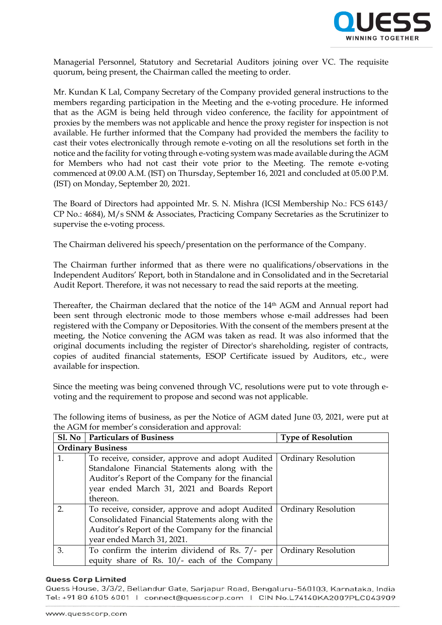

Managerial Personnel, Statutory and Secretarial Auditors joining over VC. The requisite quorum, being present, the Chairman called the meeting to order.

Mr. Kundan K Lal, Company Secretary of the Company provided general instructions to the members regarding participation in the Meeting and the e-voting procedure. He informed that as the AGM is being held through video conference, the facility for appointment of proxies by the members was not applicable and hence the proxy register for inspection is not available. He further informed that the Company had provided the members the facility to cast their votes electronically through remote e-voting on all the resolutions set forth in the notice and the facility for voting through e-voting system was made available during the AGM for Members who had not cast their vote prior to the Meeting. The remote e-voting commenced at 09.00 A.M. (IST) on Thursday, September 16, 2021 and concluded at 05.00 P.M. (IST) on Monday, September 20, 2021.

The Board of Directors had appointed Mr. S. N. Mishra (ICSI Membership No.: FCS 6143/ CP No.: 4684), M/s SNM & Associates, Practicing Company Secretaries as the Scrutinizer to supervise the e-voting process.

The Chairman delivered his speech/presentation on the performance of the Company.

The Chairman further informed that as there were no qualifications/observations in the Independent Auditors' Report, both in Standalone and in Consolidated and in the Secretarial Audit Report. Therefore, it was not necessary to read the said reports at the meeting.

Thereafter, the Chairman declared that the notice of the 14th AGM and Annual report had been sent through electronic mode to those members whose e-mail addresses had been registered with the Company or Depositories. With the consent of the members present at the meeting, the Notice convening the AGM was taken as read. It was also informed that the original documents including the register of Director's shareholding, register of contracts, copies of audited financial statements, ESOP Certificate issued by Auditors, etc., were available for inspection.

Since the meeting was being convened through VC, resolutions were put to vote through e‐ voting and the requirement to propose and second was not applicable.

The following items of business, as per the Notice of AGM dated June 03, 2021, were put at the AGM for member's consideration and approval:

|                  | Sl. No   Particulars of Business                                                                                                                                                                                                        | <b>Type of Resolution</b>  |  |  |  |
|------------------|-----------------------------------------------------------------------------------------------------------------------------------------------------------------------------------------------------------------------------------------|----------------------------|--|--|--|
|                  | <b>Ordinary Business</b>                                                                                                                                                                                                                |                            |  |  |  |
| 1.               | To receive, consider, approve and adopt Audited   Ordinary Resolution<br>Standalone Financial Statements along with the<br>Auditor's Report of the Company for the financial<br>year ended March 31, 2021 and Boards Report<br>thereon. |                            |  |  |  |
| $\overline{2}$ . | To receive, consider, approve and adopt Audited<br>Consolidated Financial Statements along with the<br>Auditor's Report of the Company for the financial<br>year ended March 31, 2021.                                                  | <b>Ordinary Resolution</b> |  |  |  |
| 3.               | To confirm the interim dividend of Rs. 7/- per<br>equity share of Rs. 10/- each of the Company                                                                                                                                          | <b>Ordinary Resolution</b> |  |  |  |

### **Quess Corp Limited**